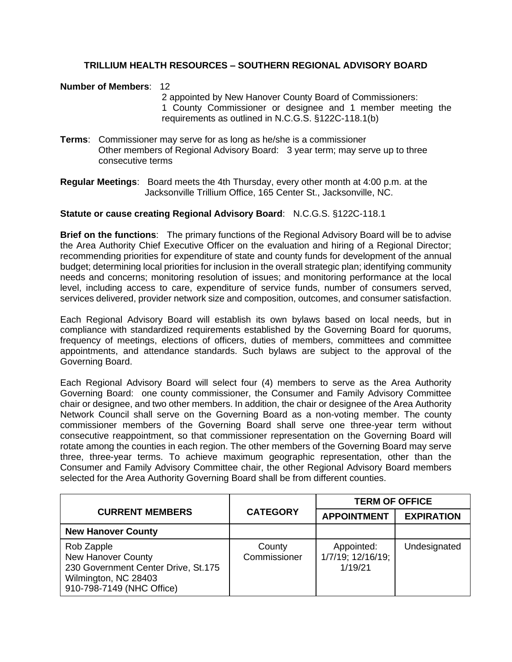### **TRILLIUM HEALTH RESOURCES – SOUTHERN REGIONAL ADVISORY BOARD**

#### **Number of Members**: 12

2 appointed by New Hanover County Board of Commissioners: 1 County Commissioner or designee and 1 member meeting the requirements as outlined in N.C.G.S. §122C-118.1(b)

**Terms**: Commissioner may serve for as long as he/she is a commissioner Other members of Regional Advisory Board: 3 year term; may serve up to three consecutive terms

**Regular Meetings**: Board meets the 4th Thursday, every other month at 4:00 p.m. at the Jacksonville Trillium Office, 165 Center St., Jacksonville, NC.

### **Statute or cause creating Regional Advisory Board**: N.C.G.S. §122C-118.1

**Brief on the functions**: The primary functions of the Regional Advisory Board will be to advise the Area Authority Chief Executive Officer on the evaluation and hiring of a Regional Director; recommending priorities for expenditure of state and county funds for development of the annual budget; determining local priorities for inclusion in the overall strategic plan; identifying community needs and concerns; monitoring resolution of issues; and monitoring performance at the local level, including access to care, expenditure of service funds, number of consumers served, services delivered, provider network size and composition, outcomes, and consumer satisfaction.

Each Regional Advisory Board will establish its own bylaws based on local needs, but in compliance with standardized requirements established by the Governing Board for quorums, frequency of meetings, elections of officers, duties of members, committees and committee appointments, and attendance standards. Such bylaws are subject to the approval of the Governing Board.

Each Regional Advisory Board will select four (4) members to serve as the Area Authority Governing Board: one county commissioner, the Consumer and Family Advisory Committee chair or designee, and two other members. In addition, the chair or designee of the Area Authority Network Council shall serve on the Governing Board as a non-voting member. The county commissioner members of the Governing Board shall serve one three-year term without consecutive reappointment, so that commissioner representation on the Governing Board will rotate among the counties in each region. The other members of the Governing Board may serve three, three-year terms. To achieve maximum geographic representation, other than the Consumer and Family Advisory Committee chair, the other Regional Advisory Board members selected for the Area Authority Governing Board shall be from different counties.

|                                                                                                                                     | <b>CATEGORY</b>        | <b>TERM OF OFFICE</b>                      |                   |
|-------------------------------------------------------------------------------------------------------------------------------------|------------------------|--------------------------------------------|-------------------|
| <b>CURRENT MEMBERS</b>                                                                                                              |                        | <b>APPOINTMENT</b>                         | <b>EXPIRATION</b> |
| <b>New Hanover County</b>                                                                                                           |                        |                                            |                   |
| Rob Zapple<br><b>New Hanover County</b><br>230 Government Center Drive, St.175<br>Wilmington, NC 28403<br>910-798-7149 (NHC Office) | County<br>Commissioner | Appointed:<br>1/7/19; 12/16/19;<br>1/19/21 | Undesignated      |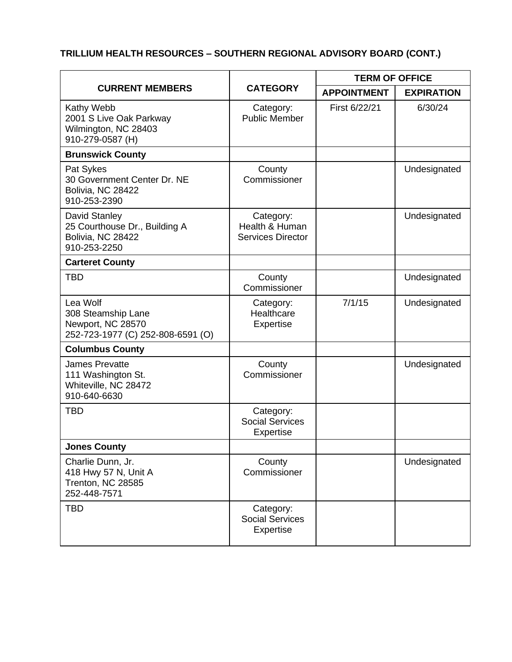# **TRILLIUM HEALTH RESOURCES – SOUTHERN REGIONAL ADVISORY BOARD (CONT.)**

| <b>CURRENT MEMBERS</b>                                                                   | <b>CATEGORY</b>                                         | <b>TERM OF OFFICE</b> |                   |
|------------------------------------------------------------------------------------------|---------------------------------------------------------|-----------------------|-------------------|
|                                                                                          |                                                         | <b>APPOINTMENT</b>    | <b>EXPIRATION</b> |
| Kathy Webb<br>2001 S Live Oak Parkway<br>Wilmington, NC 28403<br>910-279-0587 (H)        | Category:<br><b>Public Member</b>                       | First 6/22/21         | 6/30/24           |
| <b>Brunswick County</b>                                                                  |                                                         |                       |                   |
| Pat Sykes<br>30 Government Center Dr. NE<br>Bolivia, NC 28422<br>910-253-2390            | County<br>Commissioner                                  |                       | Undesignated      |
| David Stanley<br>25 Courthouse Dr., Building A<br>Bolivia, NC 28422<br>910-253-2250      | Category:<br>Health & Human<br><b>Services Director</b> |                       | Undesignated      |
| <b>Carteret County</b>                                                                   |                                                         |                       |                   |
| <b>TBD</b>                                                                               | County<br>Commissioner                                  |                       | Undesignated      |
| Lea Wolf<br>308 Steamship Lane<br>Newport, NC 28570<br>252-723-1977 (C) 252-808-6591 (O) | Category:<br>Healthcare<br><b>Expertise</b>             | 7/1/15                | Undesignated      |
| <b>Columbus County</b>                                                                   |                                                         |                       |                   |
| <b>James Prevatte</b><br>111 Washington St.<br>Whiteville, NC 28472<br>910-640-6630      | County<br>Commissioner                                  |                       | Undesignated      |
| <b>TBD</b>                                                                               | Category:<br><b>Social Services</b><br><b>Expertise</b> |                       |                   |
| <b>Jones County</b>                                                                      |                                                         |                       |                   |
| Charlie Dunn, Jr.<br>418 Hwy 57 N, Unit A<br>Trenton, NC 28585<br>252-448-7571           | County<br>Commissioner                                  |                       | Undesignated      |
| <b>TBD</b>                                                                               | Category:<br><b>Social Services</b><br><b>Expertise</b> |                       |                   |